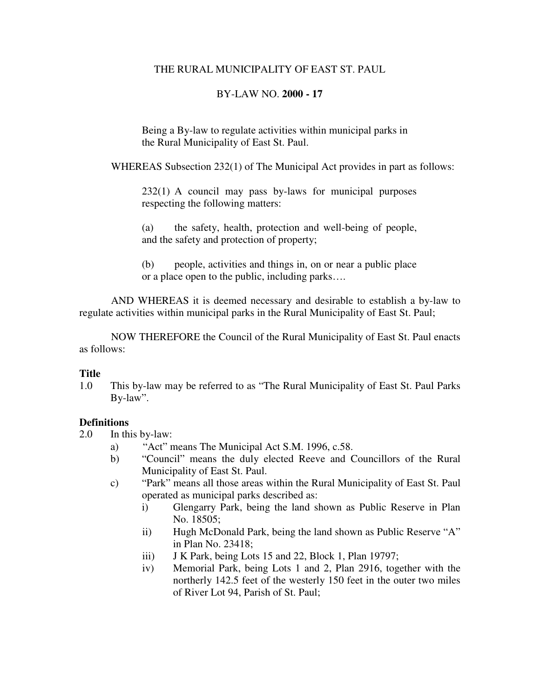## THE RURAL MUNICIPALITY OF EAST ST. PAUL

# BY-LAW NO. **2000 - 17**

Being a By-law to regulate activities within municipal parks in the Rural Municipality of East St. Paul.

WHEREAS Subsection 232(1) of The Municipal Act provides in part as follows:

232(1) A council may pass by-laws for municipal purposes respecting the following matters:

(a) the safety, health, protection and well-being of people, and the safety and protection of property;

(b) people, activities and things in, on or near a public place or a place open to the public, including parks….

 AND WHEREAS it is deemed necessary and desirable to establish a by-law to regulate activities within municipal parks in the Rural Municipality of East St. Paul;

 NOW THEREFORE the Council of the Rural Municipality of East St. Paul enacts as follows:

## **Title**

1.0 This by-law may be referred to as "The Rural Municipality of East St. Paul Parks By-law".

# **Definitions**

- 2.0 In this by-law:
	- a) "Act" means The Municipal Act S.M. 1996, c.58.
	- b) "Council" means the duly elected Reeve and Councillors of the Rural Municipality of East St. Paul.
	- c) "Park" means all those areas within the Rural Municipality of East St. Paul operated as municipal parks described as:
		- i) Glengarry Park, being the land shown as Public Reserve in Plan No. 18505;
		- ii) Hugh McDonald Park, being the land shown as Public Reserve "A" in Plan No. 23418;
		- iii) J K Park, being Lots 15 and 22, Block 1, Plan 19797;
		- iv) Memorial Park, being Lots 1 and 2, Plan 2916, together with the northerly 142.5 feet of the westerly 150 feet in the outer two miles of River Lot 94, Parish of St. Paul;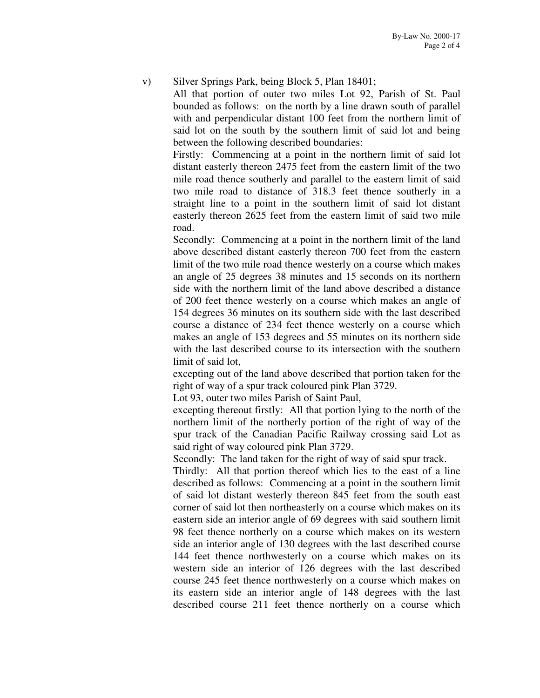### v) Silver Springs Park, being Block 5, Plan 18401;

All that portion of outer two miles Lot 92, Parish of St. Paul bounded as follows: on the north by a line drawn south of parallel with and perpendicular distant 100 feet from the northern limit of said lot on the south by the southern limit of said lot and being between the following described boundaries:

 Firstly: Commencing at a point in the northern limit of said lot distant easterly thereon 2475 feet from the eastern limit of the two mile road thence southerly and parallel to the eastern limit of said two mile road to distance of 318.3 feet thence southerly in a straight line to a point in the southern limit of said lot distant easterly thereon 2625 feet from the eastern limit of said two mile road.

 Secondly: Commencing at a point in the northern limit of the land above described distant easterly thereon 700 feet from the eastern limit of the two mile road thence westerly on a course which makes an angle of 25 degrees 38 minutes and 15 seconds on its northern side with the northern limit of the land above described a distance of 200 feet thence westerly on a course which makes an angle of 154 degrees 36 minutes on its southern side with the last described course a distance of 234 feet thence westerly on a course which makes an angle of 153 degrees and 55 minutes on its northern side with the last described course to its intersection with the southern limit of said lot,

 excepting out of the land above described that portion taken for the right of way of a spur track coloured pink Plan 3729.

Lot 93, outer two miles Parish of Saint Paul,

excepting thereout firstly: All that portion lying to the north of the northern limit of the northerly portion of the right of way of the spur track of the Canadian Pacific Railway crossing said Lot as said right of way coloured pink Plan 3729.

Secondly: The land taken for the right of way of said spur track.

Thirdly: All that portion thereof which lies to the east of a line described as follows: Commencing at a point in the southern limit of said lot distant westerly thereon 845 feet from the south east corner of said lot then northeasterly on a course which makes on its eastern side an interior angle of 69 degrees with said southern limit 98 feet thence northerly on a course which makes on its western side an interior angle of 130 degrees with the last described course 144 feet thence northwesterly on a course which makes on its western side an interior of 126 degrees with the last described course 245 feet thence northwesterly on a course which makes on its eastern side an interior angle of 148 degrees with the last described course 211 feet thence northerly on a course which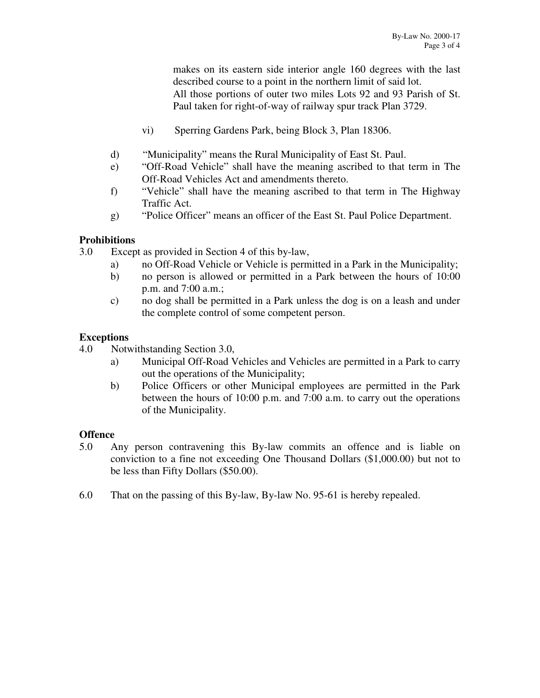makes on its eastern side interior angle 160 degrees with the last described course to a point in the northern limit of said lot. All those portions of outer two miles Lots 92 and 93 Parish of St. Paul taken for right-of-way of railway spur track Plan 3729.

- vi) Sperring Gardens Park, being Block 3, Plan 18306.
- d) "Municipality" means the Rural Municipality of East St. Paul.
- e) "Off-Road Vehicle" shall have the meaning ascribed to that term in The Off-Road Vehicles Act and amendments thereto.
- f) "Vehicle" shall have the meaning ascribed to that term in The Highway Traffic Act.
- g) "Police Officer" means an officer of the East St. Paul Police Department.

# **Prohibitions**

- 3.0 Except as provided in Section 4 of this by-law,
	- a) no Off-Road Vehicle or Vehicle is permitted in a Park in the Municipality;
	- b) no person is allowed or permitted in a Park between the hours of 10:00 p.m. and 7:00 a.m.;
	- c) no dog shall be permitted in a Park unless the dog is on a leash and under the complete control of some competent person.

# **Exceptions**

- 4.0 Notwithstanding Section 3.0,
	- a) Municipal Off-Road Vehicles and Vehicles are permitted in a Park to carry out the operations of the Municipality;
	- b) Police Officers or other Municipal employees are permitted in the Park between the hours of 10:00 p.m. and 7:00 a.m. to carry out the operations of the Municipality.

## **Offence**

- 5.0 Any person contravening this By-law commits an offence and is liable on conviction to a fine not exceeding One Thousand Dollars (\$1,000.00) but not to be less than Fifty Dollars (\$50.00).
- 6.0 That on the passing of this By-law, By-law No. 95-61 is hereby repealed.